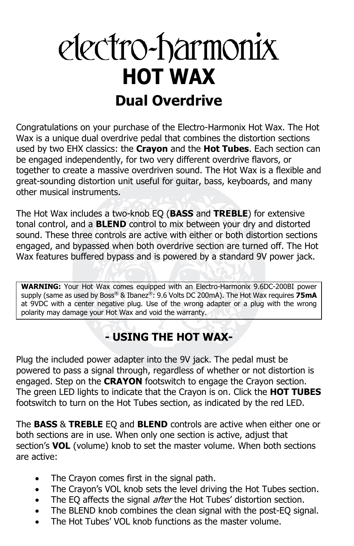# electro-harmonix **HOT WAX Dual Overdrive**

Congratulations on your purchase of the Electro-Harmonix Hot Wax. The Hot Wax is a unique dual overdrive pedal that combines the distortion sections used by two EHX classics: the **Crayon** and the **Hot Tubes**. Each section can be engaged independently, for two very different overdrive flavors, or together to create a massive overdriven sound. The Hot Wax is a flexible and great-sounding distortion unit useful for guitar, bass, keyboards, and many other musical instruments.

The Hot Wax includes a two-knob EQ (**BASS** and **TREBLE**) for extensive tonal control, and a **BLEND** control to mix between your dry and distorted sound. These three controls are active with either or both distortion sections engaged, and bypassed when both overdrive section are turned off. The Hot Wax features buffered bypass and is powered by a standard 9V power jack.

**WARNING:** Your Hot Wax comes equipped with an Electro-Harmonix 9.6DC-200BI power supply (same as used by Boss® & Ibanez®: 9.6 Volts DC 200mA). The Hot Wax requires **75mA** at 9VDC with a center negative plug. Use of the wrong adapter or a plug with the wrong polarity may damage your Hot Wax and void the warranty.

# **- USING THE HOT WAX-**

Plug the included power adapter into the 9V jack. The pedal must be powered to pass a signal through, regardless of whether or not distortion is engaged. Step on the **CRAYON** footswitch to engage the Crayon section. The green LED lights to indicate that the Crayon is on. Click the **HOT TUBES**  footswitch to turn on the Hot Tubes section, as indicated by the red LED.

The **BASS** & **TREBLE** EQ and **BLEND** controls are active when either one or both sections are in use. When only one section is active, adjust that section's **VOL** (volume) knob to set the master volume. When both sections are active:

- The Crayon comes first in the signal path.
- The Crayon's VOL knob sets the level driving the Hot Tubes section.
- The EQ affects the signal *after* the Hot Tubes' distortion section.
- The BLEND knob combines the clean signal with the post-EQ signal.
- The Hot Tubes' VOL knob functions as the master volume.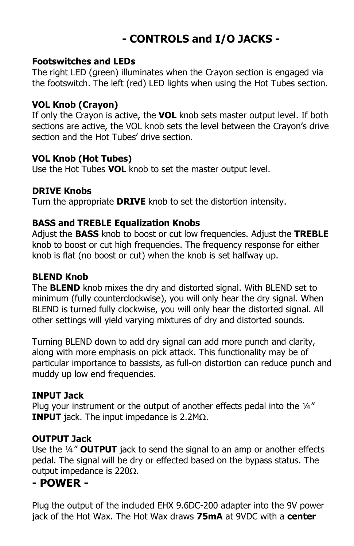# **- CONTROLS and I/O JACKS -**

#### **Footswitches and LEDs**

The right LED (green) illuminates when the Crayon section is engaged via the footswitch. The left (red) LED lights when using the Hot Tubes section.

#### **VOL Knob (Crayon)**

If only the Crayon is active, the **VOL** knob sets master output level. If both sections are active, the VOL knob sets the level between the Crayon's drive section and the Hot Tubes' drive section.

#### **VOL Knob (Hot Tubes)**

Use the Hot Tubes **VOL** knob to set the master output level.

#### **DRIVE Knobs**

Turn the appropriate **DRIVE** knob to set the distortion intensity.

### **BASS and TREBLE Equalization Knobs**

Adjust the **BASS** knob to boost or cut low frequencies. Adjust the **TREBLE** knob to boost or cut high frequencies. The frequency response for either knob is flat (no boost or cut) when the knob is set halfway up.

#### **BLEND Knob**

The **BLEND** knob mixes the dry and distorted signal. With BLEND set to minimum (fully counterclockwise), you will only hear the dry signal. When BLEND is turned fully clockwise, you will only hear the distorted signal. All other settings will yield varying mixtures of dry and distorted sounds.

Turning BLEND down to add dry signal can add more punch and clarity, along with more emphasis on pick attack. This functionality may be of particular importance to bassists, as full-on distortion can reduce punch and muddy up low end frequencies.

#### **INPUT Jack**

Plug your instrument or the output of another effects pedal into the 1/4" **INPUT** jack. The input impedance is  $2.2M<sub>\Omega</sub>$ .

#### **OUTPUT Jack**

Use the ¼" **OUTPUT** jack to send the signal to an amp or another effects pedal. The signal will be dry or effected based on the bypass status. The output impedance is 220 $\Omega$ .

### **- POWER -**

Plug the output of the included EHX 9.6DC-200 adapter into the 9V power jack of the Hot Wax. The Hot Wax draws **75mA** at 9VDC with a **center**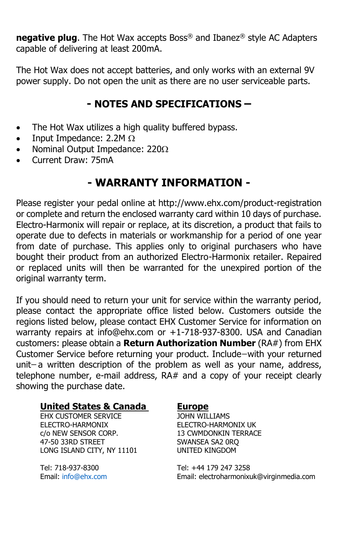**negative plug**. The Hot Wax accepts Boss® and Ibanez® style AC Adapters capable of delivering at least 200mA.

The Hot Wax does not accept batteries, and only works with an external 9V power supply. Do not open the unit as there are no user serviceable parts.

## **- NOTES AND SPECIFICATIONS –**

- The Hot Wax utilizes a high quality buffered bypass.
- Input Impedance: 2.2M  $\Omega$
- Nominal Output Impedance:  $220\Omega$
- Current Draw: 75mA

# **- WARRANTY INFORMATION -**

Please register your pedal online at http://www.ehx.com/product-registration or complete and return the enclosed warranty card within 10 days of purchase. Electro-Harmonix will repair or replace, at its discretion, a product that fails to operate due to defects in materials or workmanship for a period of one year from date of purchase. This applies only to original purchasers who have bought their product from an authorized Electro-Harmonix retailer. Repaired or replaced units will then be warranted for the unexpired portion of the original warranty term.

If you should need to return your unit for service within the warranty period, please contact the appropriate office listed below. Customers outside the regions listed below, please contact EHX Customer Service for information on warranty repairs at info@ehx.com or +1-718-937-8300. USA and Canadian customers: please obtain a **Return Authorization Number** (RA#) from EHX Customer Service before returning your product. Include ̶with your returned unit-a written description of the problem as well as your name, address, telephone number, e-mail address, RA# and a copy of your receipt clearly showing the purchase date.

#### **United States & Canada Europe**

EHX CUSTOMER SERVICE JOHN WILLIAMS ELECTRO-HARMONIX ELECTRO-HARMONIX UK c/o NEW SENSOR CORP. 13 CWMDONKIN TERRACE 47-50 33RD STREET SWANSEA SA2 ORQ LONG ISLAND CITY, NY 11101 UNITED KINGDOM

Tel: 718-937-8300 Tel: +44 179 247 3258 Email: [info@ehx.com](mailto:info@ehx.com) Email: electroharmonixuk@virginmedia.com